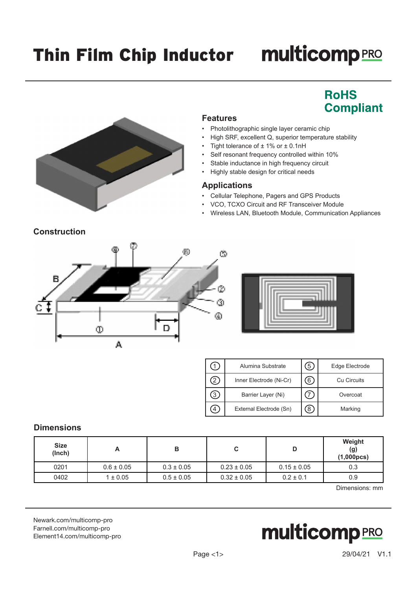## Thin Film Chip Inductor multicompPRO

## **RoHS Compliant**



#### **Features**

- Photolithographic single layer ceramic chip
- High SRF, excellent Q, superior temperature stability
- Tight tolerance of  $\pm$  1% or  $\pm$  0.1nH
- Self resonant frequency controlled within 10%
- Stable inductance in high frequency circuit
- Highly stable design for critical needs

#### **Applications**

- Cellular Telephone, Pagers and GPS Products
- VCO, TCXO Circuit and RF Transceiver Module
- Wireless LAN, Bluetooth Module, Communication Appliances





| Alumina Substrate       | Edge Electrode |
|-------------------------|----------------|
| Inner Electrode (Ni-Cr) | Cu Circuits    |
| Barrier Layer (Ni)      | Overcoat       |
| External Electrode (Sn) | Marking        |

### **Dimensions**

| <b>Size</b><br>(Inch) | A              | в              | u               | D               | Weight<br>(g)<br>(1,000pcs) |
|-----------------------|----------------|----------------|-----------------|-----------------|-----------------------------|
| 0201                  | $0.6 \pm 0.05$ | $0.3 \pm 0.05$ | $0.23 \pm 0.05$ | $0.15 \pm 0.05$ | 0.3                         |
| 0402                  | $1 \pm 0.05$   | $0.5 \pm 0.05$ | $0.32 \pm 0.05$ | $0.2 \pm 0.1$   | 0.9                         |
|                       |                |                |                 |                 |                             |

Dimensions: mm

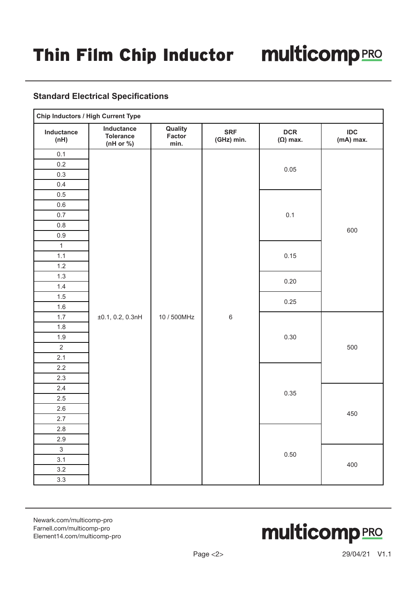#### **Standard Electrical Specifications**

|                           | <b>Chip Inductors / High Current Type</b>   |                           |                          |                               |                  |
|---------------------------|---------------------------------------------|---------------------------|--------------------------|-------------------------------|------------------|
| Inductance<br>(nH)        | Inductance<br><b>Tolerance</b><br>(nH or %) | Quality<br>Factor<br>min. | <b>SRF</b><br>(GHz) min. | <b>DCR</b><br>$(\Omega)$ max. | IDC<br>(mA) max. |
| 0.1                       |                                             |                           |                          |                               |                  |
| 0.2                       |                                             |                           |                          | 0.05                          |                  |
| 0.3                       |                                             |                           |                          |                               |                  |
| 0.4                       |                                             |                           |                          |                               |                  |
| 0.5                       |                                             |                           |                          |                               |                  |
| $0.6\,$                   |                                             |                           |                          |                               |                  |
| 0.7                       |                                             |                           |                          | 0.1                           |                  |
| $0.8\,$                   |                                             |                           |                          |                               | 600              |
| 0.9                       |                                             |                           |                          |                               |                  |
| $\mathbf{1}$              |                                             |                           |                          |                               |                  |
| 1.1                       |                                             |                           |                          | 0.15                          |                  |
| $1.2$                     |                                             |                           |                          |                               |                  |
| 1.3                       |                                             |                           |                          | 0.20                          |                  |
| $1.4$                     |                                             |                           |                          |                               |                  |
| 1.5                       |                                             |                           |                          | 0.25                          |                  |
| $1.6\,$                   |                                             |                           |                          |                               |                  |
| 1.7                       | ±0.1, 0.2, 0.3nH                            | 10 / 500MHz               | $\,6$                    |                               |                  |
| 1.8                       |                                             |                           |                          |                               |                  |
| $1.9$                     |                                             |                           |                          | $0.30\,$                      |                  |
| $\overline{2}$            |                                             |                           |                          |                               | 500              |
| 2.1                       |                                             |                           |                          |                               |                  |
| 2.2                       |                                             |                           |                          |                               |                  |
| 2.3                       |                                             |                           |                          |                               |                  |
| 2.4                       |                                             |                           |                          | 0.35                          |                  |
| 2.5                       |                                             |                           |                          |                               |                  |
| $2.6\,$                   |                                             |                           |                          |                               | 450              |
| 2.7                       |                                             |                           |                          |                               |                  |
| $2.8\,$                   |                                             |                           |                          |                               |                  |
| 2.9                       |                                             |                           |                          |                               |                  |
| $\ensuremath{\mathsf{3}}$ |                                             |                           |                          | 0.50                          |                  |
| 3.1                       |                                             |                           |                          |                               | 400              |
| 3.2                       |                                             |                           |                          |                               |                  |
| 3.3                       |                                             |                           |                          |                               |                  |

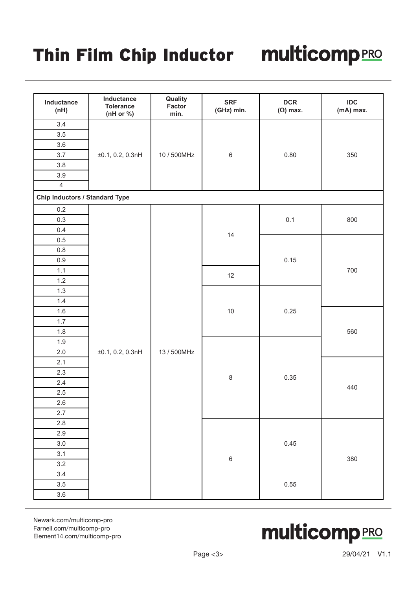# Thin Film Chip Inductor multicompRRO

| Inductance<br>(nH)                    | Inductance<br><b>Tolerance</b><br>(nH or %) | Quality<br>Factor<br>min. | <b>SRF</b><br>(GHz) min. | <b>DCR</b><br>$(\Omega)$ max. | <b>IDC</b><br>(mA) max. |
|---------------------------------------|---------------------------------------------|---------------------------|--------------------------|-------------------------------|-------------------------|
| 3.4                                   |                                             |                           |                          |                               |                         |
| 3.5                                   |                                             |                           |                          |                               |                         |
| 3.6                                   |                                             |                           |                          |                               |                         |
| 3.7                                   | ±0.1, 0.2, 0.3nH                            | 10 / 500MHz               | $\,6\,$                  | 0.80                          | 350                     |
| $3.8\,$                               |                                             |                           |                          |                               |                         |
| 3.9                                   |                                             |                           |                          |                               |                         |
| $\overline{4}$                        |                                             |                           |                          |                               |                         |
| <b>Chip Inductors / Standard Type</b> |                                             |                           |                          |                               |                         |
| $0.2\,$                               |                                             |                           |                          |                               |                         |
| 0.3                                   |                                             |                           |                          | 0.1                           | 800                     |
| 0.4                                   |                                             |                           | 14                       |                               |                         |
| $0.5\,$                               |                                             |                           |                          |                               |                         |
| $0.8\,$                               |                                             |                           |                          |                               |                         |
| $0.9\,$                               |                                             |                           |                          | 0.15                          |                         |
| 1.1                                   |                                             |                           | 12                       |                               | 700                     |
| $1.2$                                 |                                             |                           |                          |                               |                         |
| 1.3                                   |                                             |                           |                          |                               |                         |
| 1.4                                   |                                             |                           |                          |                               |                         |
| $1.6\,$                               |                                             |                           | $10$                     | 0.25                          |                         |
| 1.7                                   |                                             |                           |                          |                               |                         |
| $1.8\,$                               |                                             |                           |                          |                               | 560                     |
| 1.9                                   |                                             |                           |                          |                               |                         |
| $2.0\,$                               | ±0.1, 0.2, 0.3nH                            | 13 / 500MHz               |                          |                               |                         |
| 2.1                                   |                                             |                           |                          |                               |                         |
| 2.3                                   |                                             |                           | $\bf 8$                  | 0.35                          |                         |
| $2.4\,$                               |                                             |                           |                          |                               | 440                     |
| $2.5\,$                               |                                             |                           |                          |                               |                         |
| 2.6                                   |                                             |                           |                          |                               |                         |
| 2.7                                   |                                             |                           |                          |                               |                         |
| 2.8                                   |                                             |                           |                          |                               |                         |
| 2.9                                   |                                             |                           |                          |                               |                         |
| 3.0                                   |                                             |                           |                          | 0.45                          |                         |
| 3.1                                   |                                             |                           | $\overline{6}$           |                               | 380                     |
| 3.2                                   |                                             |                           |                          |                               |                         |
| 3.4                                   |                                             |                           |                          |                               |                         |
| 3.5                                   |                                             |                           |                          | 0.55                          |                         |
| 3.6                                   |                                             |                           |                          |                               |                         |

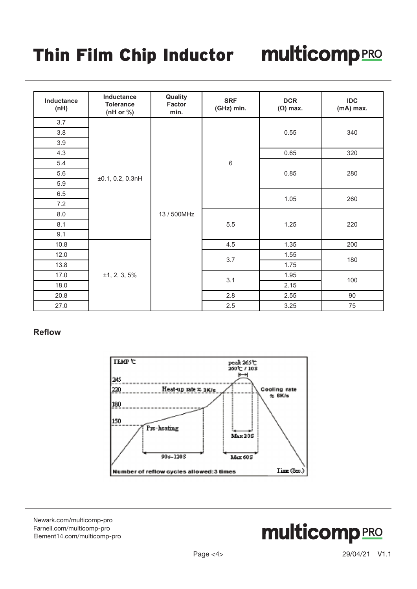## Thin Film Chip Inductor multicompRRO

| Inductance<br>(nH) | Inductance<br><b>Tolerance</b><br>(nH or $\%$ ) | Quality<br>Factor<br>min. | <b>SRF</b><br>(GHz) min. | <b>DCR</b><br>$(\Omega)$ max. | <b>IDC</b><br>(mA) max. |  |
|--------------------|-------------------------------------------------|---------------------------|--------------------------|-------------------------------|-------------------------|--|
| 3.7                |                                                 |                           |                          |                               |                         |  |
| 3.8                |                                                 |                           |                          | 0.55                          | 340                     |  |
| 3.9                |                                                 |                           |                          |                               |                         |  |
| 4.3                |                                                 |                           |                          | 0.65                          | 320                     |  |
| 5.4                |                                                 |                           | $\,6\,$                  |                               |                         |  |
| 5.6                |                                                 |                           |                          | 0.85                          | 280                     |  |
| 5.9                | ±0.1, 0.2, 0.3nH                                | 13 / 500MHz               |                          |                               |                         |  |
| 6.5                |                                                 |                           |                          | 1.05                          | 260                     |  |
| 7.2                |                                                 |                           |                          |                               |                         |  |
| 8.0                |                                                 |                           | $5.5\,$                  | 1.25                          | 220                     |  |
| 8.1                |                                                 |                           |                          |                               |                         |  |
| 9.1                |                                                 |                           |                          |                               |                         |  |
| 10.8               |                                                 |                           | 4.5                      | 1.35                          | 200                     |  |
| 12.0               |                                                 |                           | 3.7                      | 1.55                          | 180                     |  |
| 13.8               |                                                 |                           |                          | 1.75                          |                         |  |
| 17.0               | ±1, 2, 3, 5%                                    |                           | 3.1                      | 1.95                          | 100                     |  |
| 18.0               |                                                 |                           |                          | 2.15                          |                         |  |
| 20.8               |                                                 |                           | 2.8                      | 2.55                          | 90                      |  |
| 27.0               |                                                 |                           | $2.5\,$                  | 3.25                          | $75\,$                  |  |

#### **Reflow**



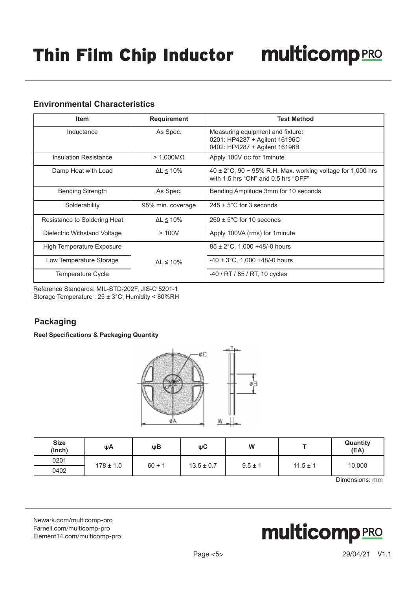### **Environmental Characteristics**

| <b>Item</b>                  | <b>Requirement</b>   | <b>Test Method</b>                                                                                         |
|------------------------------|----------------------|------------------------------------------------------------------------------------------------------------|
| Inductance                   | As Spec.             | Measuring equipment and fixture:<br>0201: HP4287 + Agilent 16196C<br>0402: HP4287 + Agilent 16196B         |
| <b>Insulation Resistance</b> | $> 1,000M\Omega$     | Apply 100V pc for 1minute                                                                                  |
| Damp Heat with Load          | $\Delta L \leq 10\%$ | 40 $\pm$ 2°C, 90 $\sim$ 95% R.H. Max. working voltage for 1,000 hrs<br>with 1.5 hrs "ON" and 0.5 hrs "OFF" |
| <b>Bending Strength</b>      | As Spec.             | Bending Amplitude 3mm for 10 seconds                                                                       |
| Solderability                | 95% min. coverage    | $245 \pm 5^{\circ}$ C for 3 seconds                                                                        |
| Resistance to Soldering Heat | $\Delta L \leq 10\%$ | $260 \pm 5^{\circ}$ C for 10 seconds                                                                       |
| Dielectric Withstand Voltage | >100V                | Apply 100VA (rms) for 1 minute                                                                             |
| High Temperature Exposure    |                      | $85 \pm 2^{\circ}$ C, 1,000 +48/-0 hours                                                                   |
| Low Temperature Storage      | $\Delta L \leq 10\%$ | $-40 \pm 3^{\circ}$ C, 1,000 +48/-0 hours                                                                  |
| Temperature Cycle            |                      | -40 / RT / 85 / RT, 10 cycles                                                                              |

Reference Standards: MIL-STD-202F, JIS-C 5201-1 Storage Temperature : 25 ± 3°C; Humidity < 80%RH

## **Packaging**

**Reel Specifications & Packaging Quantity**



| 0201<br>$178 \pm 1.0$<br>$60 + 1$<br>10,000<br>$13.5 \pm 0.7$<br>$9.5 \pm 1$<br>$11.5 \pm 1$ | <b>Size</b><br>(Inch) | ψA | ψB | ψC | W | Quantity<br>(EA) |
|----------------------------------------------------------------------------------------------|-----------------------|----|----|----|---|------------------|
|                                                                                              |                       |    |    |    |   |                  |
|                                                                                              | 0402                  |    |    |    |   |                  |

Dimensions: mm

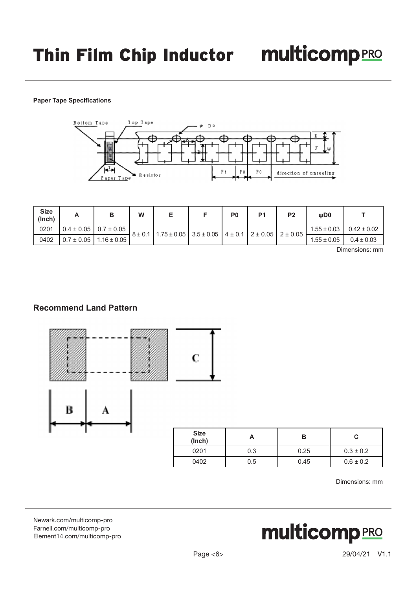#### **Paper Tape Specifications**



| <b>Size</b><br>(Inch) |                                | W | -                                                                                          |  | P <sub>0</sub> | D <sub>1</sub> | P <sub>2</sub>  | WD0             |                 |
|-----------------------|--------------------------------|---|--------------------------------------------------------------------------------------------|--|----------------|----------------|-----------------|-----------------|-----------------|
| 0201                  | $0.4 \pm 0.05$ 0.7 $\pm$ 0.05  |   |                                                                                            |  |                |                |                 | $1.55 \pm 0.03$ | $0.42 \pm 0.02$ |
| 0402                  | $0.7 \pm 0.05$ 1.16 $\pm$ 0.05 |   | $8 \pm 0.1$   1.75 $\pm$ 0.05   3.5 $\pm$ 0.05   4 $\pm$ 0.1   2 $\pm$ 0.05   2 $\pm$ 0.05 |  |                |                | $1.55 \pm 0.05$ | $0.4 \pm 0.03$  |                 |

Dimensions: mm

#### **Recommend Land Pattern**





| <b>Size</b><br>(Inch) |     | В    | С             |
|-----------------------|-----|------|---------------|
| 0201                  | 0.3 | 0.25 | $0.3 \pm 0.2$ |
| 0402                  | 0.5 | 0.45 | $0.6 \pm 0.2$ |

Dimensions: mm

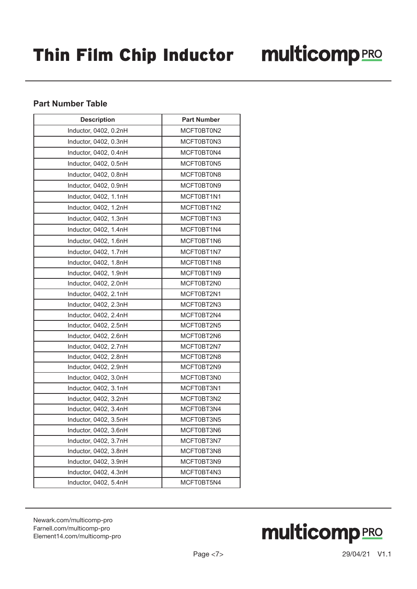### **Part Number Table**

| <b>Description</b>    | <b>Part Number</b> |
|-----------------------|--------------------|
| Inductor, 0402, 0.2nH | MCFT0BT0N2         |
| Inductor, 0402, 0.3nH | MCFT0BT0N3         |
| Inductor, 0402, 0.4nH | MCFT0BT0N4         |
| Inductor, 0402, 0.5nH | MCFT0BT0N5         |
| Inductor, 0402, 0.8nH | MCFT0BT0N8         |
| Inductor, 0402, 0.9nH | MCFT0BT0N9         |
| Inductor, 0402, 1.1nH | MCFT0BT1N1         |
| Inductor, 0402, 1.2nH | MCFT0BT1N2         |
| Inductor, 0402, 1.3nH | MCFT0BT1N3         |
| Inductor, 0402, 1.4nH | MCFT0BT1N4         |
| Inductor, 0402, 1.6nH | MCFT0BT1N6         |
| Inductor, 0402, 1.7nH | MCFT0BT1N7         |
| Inductor, 0402, 1.8nH | MCFT0BT1N8         |
| Inductor, 0402, 1.9nH | MCFT0BT1N9         |
| Inductor, 0402, 2.0nH | MCFT0BT2N0         |
| Inductor, 0402, 2.1nH | MCFT0BT2N1         |
| Inductor, 0402, 2.3nH | MCFT0BT2N3         |
| Inductor, 0402, 2.4nH | MCFT0BT2N4         |
| Inductor, 0402, 2.5nH | MCFT0BT2N5         |
| Inductor, 0402, 2.6nH | MCFT0BT2N6         |
| Inductor, 0402, 2.7nH | MCFT0BT2N7         |
| Inductor, 0402, 2.8nH | MCFT0BT2N8         |
| Inductor, 0402, 2.9nH | MCFT0BT2N9         |
| Inductor, 0402, 3.0nH | MCFT0BT3N0         |
| Inductor, 0402, 3.1nH | MCFT0BT3N1         |
| Inductor, 0402, 3.2nH | MCFT0BT3N2         |
| Inductor, 0402, 3.4nH | MCFT0BT3N4         |
| Inductor, 0402, 3.5nH | MCFT0BT3N5         |
| Inductor, 0402, 3.6nH | MCFT0BT3N6         |
| Inductor, 0402, 3.7nH | MCFT0BT3N7         |
| Inductor, 0402, 3.8nH | MCFT0BT3N8         |
| Inductor, 0402, 3.9nH | MCFT0BT3N9         |
| Inductor, 0402, 4.3nH | MCFT0BT4N3         |
| Inductor, 0402, 5.4nH | MCFT0BT5N4         |

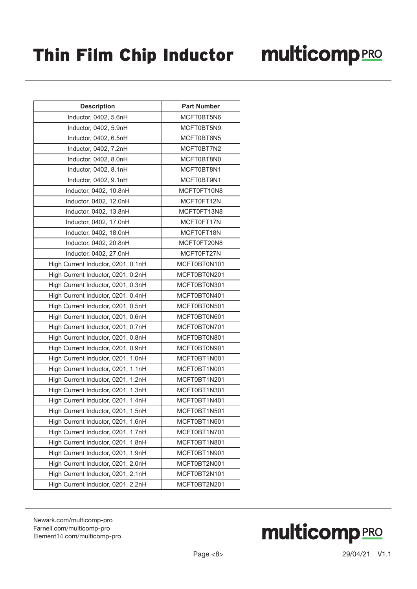| <b>Description</b>                 | <b>Part Number</b> |
|------------------------------------|--------------------|
| Inductor, 0402, 5.6nH              | MCFT0BT5N6         |
| Inductor, 0402, 5.9nH              | MCFT0BT5N9         |
| Inductor, 0402, 6.5nH              | MCFT0BT6N5         |
| Inductor, 0402, 7.2nH              | MCFT0BT7N2         |
| Inductor, 0402, 8.0nH              | MCFT0BT8N0         |
| Inductor, 0402, 8.1nH              | MCFT0BT8N1         |
| Inductor, 0402, 9.1nH              | MCFT0BT9N1         |
| Inductor, 0402, 10.8nH             | MCFT0FT10N8        |
| Inductor, 0402, 12.0nH             | MCFT0FT12N         |
| Inductor, 0402, 13.8nH             | MCFT0FT13N8        |
| Inductor, 0402, 17.0nH             | MCFT0FT17N         |
| Inductor, 0402, 18.0nH             | MCFT0FT18N         |
| Inductor, 0402, 20.8nH             | MCFT0FT20N8        |
| Inductor, 0402, 27.0nH             | MCFT0FT27N         |
| High Current Inductor, 0201, 0.1nH | MCFT0BT0N101       |
| High Current Inductor, 0201, 0.2nH | MCFT0BT0N201       |
| High Current Inductor, 0201, 0.3nH | MCFT0BT0N301       |
| High Current Inductor, 0201, 0.4nH | MCFT0BT0N401       |
| High Current Inductor, 0201, 0.5nH | MCFT0BT0N501       |
| High Current Inductor, 0201, 0.6nH | MCFT0BT0N601       |
| High Current Inductor, 0201, 0.7nH | MCFT0BT0N701       |
| High Current Inductor, 0201, 0.8nH | MCFT0BT0N801       |
| High Current Inductor, 0201, 0.9nH | MCFT0BT0N901       |
| High Current Inductor, 0201, 1.0nH | MCFT0BT1N001       |
| High Current Inductor, 0201, 1.1nH | MCFT0BT1N001       |
| High Current Inductor, 0201, 1.2nH | MCFT0BT1N201       |
| High Current Inductor, 0201, 1.3nH | MCFT0BT1N301       |
| High Current Inductor, 0201, 1.4nH | MCFT0BT1N401       |
| High Current Inductor, 0201, 1.5nH | MCFT0BT1N501       |
| High Current Inductor, 0201, 1.6nH | MCFT0BT1N601       |
| High Current Inductor, 0201, 1.7nH | MCFT0BT1N701       |
| High Current Inductor, 0201, 1.8nH | MCFT0BT1N801       |
| High Current Inductor, 0201, 1.9nH | MCFT0BT1N901       |
| High Current Inductor, 0201, 2.0nH | MCFT0BT2N001       |
| High Current Inductor, 0201, 2.1nH | MCFT0BT2N101       |
| High Current Inductor, 0201, 2.2nH | MCFT0BT2N201       |